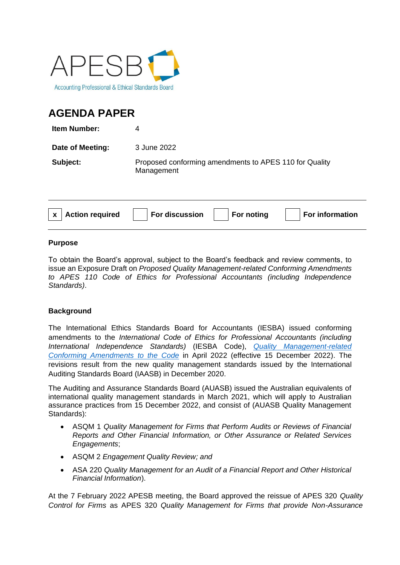

# **AGENDA PAPER**

| <b>Item Number:</b> |                                                                      |
|---------------------|----------------------------------------------------------------------|
| Date of Meeting:    | 3 June 2022                                                          |
| Subject:            | Proposed conforming amendments to APES 110 for Quality<br>Management |

| $\vert$ x $\vert$ Action required | $\vert\;\;\;\vert$ For discussion $\;\;\vert\;\;\;\;\vert$ For noting | For information |
|-----------------------------------|-----------------------------------------------------------------------|-----------------|
|                                   |                                                                       |                 |

### **Purpose**

To obtain the Board's approval, subject to the Board's feedback and review comments, to issue an Exposure Draft on *Proposed Quality Management-related Conforming Amendments to APES 110 Code of Ethics for Professional Accountants (including Independence Standards)*.

## **Background**

The International Ethics Standards Board for Accountants (IESBA) issued conforming amendments to the *International Code of Ethics for Professional Accountants (including International Independence Standards)* (IESBA Code), *[Quality Management-related](https://www.ethicsboard.org/publications/final-pronouncement-quality-management-related-conforming-amendments-code)  [Conforming Amendments to the Code](https://www.ethicsboard.org/publications/final-pronouncement-quality-management-related-conforming-amendments-code)* in April 2022 (effective 15 December 2022). The revisions result from the new quality management standards issued by the International Auditing Standards Board (IAASB) in December 2020.

The Auditing and Assurance Standards Board (AUASB) issued the Australian equivalents of international quality management standards in March 2021, which will apply to Australian assurance practices from 15 December 2022, and consist of (AUASB Quality Management Standards):

- ASQM 1 *Quality Management for Firms that Perform Audits or Reviews of Financial Reports and Other Financial Information, or Other Assurance or Related Services Engagements*;
- ASQM 2 *Engagement Quality Review; and*
- ASA 220 *Quality Management for an Audit of a Financial Report and Other Historical Financial Information*).

At the 7 February 2022 APESB meeting, the Board approved the reissue of APES 320 *Quality Control for Firms* as APES 320 *Quality Management for Firms that provide Non-Assurance*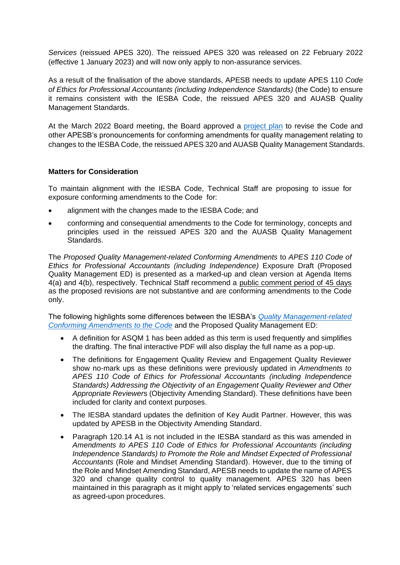*Services* (reissued APES 320). The reissued APES 320 was released on 22 February 2022 (effective 1 January 2023) and will now only apply to non-assurance services.

As a result of the finalisation of the above standards, APESB needs to update APES 110 *Code of Ethics for Professional Accountants (including Independence Standards)* (the Code) to ensure it remains consistent with the IESBA Code, the reissued APES 320 and AUASB Quality Management Standards.

At the March 2022 Board meeting, the Board approved a [project plan](https://apesb.org.au/wp-content/uploads/2022/03/Agenda_Item_5_a_Project_Proposal_Conforming_Amendments_to_APESB_Pronouncements_for_Quality_Management.pdf) to revise the Code and other APESB's pronouncements for conforming amendments for quality management relating to changes to the IESBA Code, the reissued APES 320 and AUASB Quality Management Standards.

#### **Matters for Consideration**

To maintain alignment with the IESBA Code, Technical Staff are proposing to issue for exposure conforming amendments to the Code for:

- alignment with the changes made to the IESBA Code; and
- conforming and consequential amendments to the Code for terminology, concepts and principles used in the reissued APES 320 and the AUASB Quality Management **Standards**

The *Proposed Quality Management-related Conforming Amendments* to *APES 110 Code of Ethics for Professional Accountants (including Independence)* Exposure Draft (Proposed Quality Management ED) is presented as a marked-up and clean version at Agenda Items 4(a) and 4(b), respectively. Technical Staff recommend a public comment period of 45 days as the proposed revisions are not substantive and are conforming amendments to the Code only.

The following highlights some differences between the IESBA's *[Quality Management-related](https://www.ethicsboard.org/publications/final-pronouncement-quality-management-related-conforming-amendments-code)  [Conforming Amendments to the Code](https://www.ethicsboard.org/publications/final-pronouncement-quality-management-related-conforming-amendments-code)* and the Proposed Quality Management ED:

- A definition for ASQM 1 has been added as this term is used frequently and simplifies the drafting. The final interactive PDF will also display the full name as a pop-up.
- The definitions for Engagement Quality Review and Engagement Quality Reviewer show no-mark ups as these definitions were previously updated in *Amendments to APES 110 Code of Ethics for Professional Accountants (including Independence Standards) Addressing the Objectivity of an Engagement Quality Reviewer and Other Appropriate Reviewer*s (Objectivity Amending Standard). These definitions have been included for clarity and context purposes.
- The IESBA standard updates the definition of Key Audit Partner. However, this was updated by APESB in the Objectivity Amending Standard.
- Paragraph 120.14 A1 is not included in the IESBA standard as this was amended in *Amendments to APES 110 Code of Ethics for Professional Accountants (including Independence Standards) to Promote the Role and Mindset Expected of Professional Accountants* (Role and Mindset Amending Standard). However, due to the timing of the Role and Mindset Amending Standard, APESB needs to update the name of APES 320 and change quality control to quality management. APES 320 has been maintained in this paragraph as it might apply to 'related services engagements' such as agreed-upon procedures.